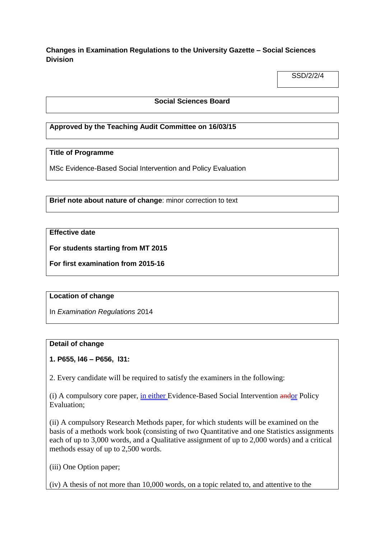**Changes in Examination Regulations to the University Gazette – Social Sciences Division**

SSD/2/2/4

#### **Social Sciences Board**

### **Approved by the Teaching Audit Committee on 16/03/15**

#### **Title of Programme**

MSc Evidence-Based Social Intervention and Policy Evaluation

**Brief note about nature of change**: minor correction to text

#### **Effective date**

**For students starting from MT 2015**

**For first examination from 2015-16** 

#### **Location of change**

In *Examination Regulations* 2014

#### **Detail of change**

#### **1. P655, l46 – P656, l31:**

2. Every candidate will be required to satisfy the examiners in the following:

(i) A compulsory core paper, in either Evidence-Based Social Intervention andor Policy Evaluation;

(ii) A compulsory Research Methods paper, for which students will be examined on the basis of a methods work book (consisting of two Quantitative and one Statistics assignments each of up to 3,000 words, and a Qualitative assignment of up to 2,000 words) and a critical methods essay of up to 2,500 words.

(iii) One Option paper;

(iv) A thesis of not more than 10,000 words, on a topic related to, and attentive to the